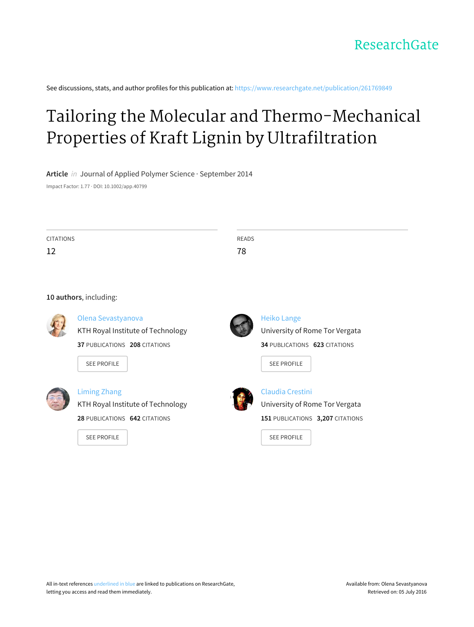See discussions, stats, and author profiles for this publication at: [https://www.researchgate.net/publication/261769849](https://www.researchgate.net/publication/261769849_Tailoring_the_Molecular_and_Thermo-Mechanical_Properties_of_Kraft_Lignin_by_Ultrafiltration?enrichId=rgreq-198a559fbb1d7221abb26f8bc2f04edc-XXX&enrichSource=Y292ZXJQYWdlOzI2MTc2OTg0OTtBUzoxNDQ1MDUwODA2NTE3NzdAMTQxMTQ2NDEwNDcyMg%3D%3D&el=1_x_2)

# Tailoring the Molecular and [Thermo-Mechanical](https://www.researchgate.net/publication/261769849_Tailoring_the_Molecular_and_Thermo-Mechanical_Properties_of_Kraft_Lignin_by_Ultrafiltration?enrichId=rgreq-198a559fbb1d7221abb26f8bc2f04edc-XXX&enrichSource=Y292ZXJQYWdlOzI2MTc2OTg0OTtBUzoxNDQ1MDUwODA2NTE3NzdAMTQxMTQ2NDEwNDcyMg%3D%3D&el=1_x_3) Properties of Kraft Lignin by Ultrafiltration

**Article** in Journal of Applied Polymer Science · September 2014

Impact Factor: 1.77 · DOI: 10.1002/app.40799

| CITATIONS | READS |
|-----------|-------|
| 12<br>∸∸  | 78    |
|           |       |

# **10 authors**, including:



# Olena [Sevastyanova](https://www.researchgate.net/profile/Olena_Sevastyanova?enrichId=rgreq-198a559fbb1d7221abb26f8bc2f04edc-XXX&enrichSource=Y292ZXJQYWdlOzI2MTc2OTg0OTtBUzoxNDQ1MDUwODA2NTE3NzdAMTQxMTQ2NDEwNDcyMg%3D%3D&el=1_x_5)

KTH Royal Institute of [Technology](https://www.researchgate.net/institution/KTH_Royal_Institute_of_Technology?enrichId=rgreq-198a559fbb1d7221abb26f8bc2f04edc-XXX&enrichSource=Y292ZXJQYWdlOzI2MTc2OTg0OTtBUzoxNDQ1MDUwODA2NTE3NzdAMTQxMTQ2NDEwNDcyMg%3D%3D&el=1_x_6) **37** PUBLICATIONS **208** CITATIONS





# [Liming](https://www.researchgate.net/profile/Liming_Zhang6?enrichId=rgreq-198a559fbb1d7221abb26f8bc2f04edc-XXX&enrichSource=Y292ZXJQYWdlOzI2MTc2OTg0OTtBUzoxNDQ1MDUwODA2NTE3NzdAMTQxMTQ2NDEwNDcyMg%3D%3D&el=1_x_5) Zhang

KTH Royal Institute of [Technology](https://www.researchgate.net/institution/KTH_Royal_Institute_of_Technology?enrichId=rgreq-198a559fbb1d7221abb26f8bc2f04edc-XXX&enrichSource=Y292ZXJQYWdlOzI2MTc2OTg0OTtBUzoxNDQ1MDUwODA2NTE3NzdAMTQxMTQ2NDEwNDcyMg%3D%3D&el=1_x_6) **28** PUBLICATIONS **642** CITATIONS





# Heiko [Lange](https://www.researchgate.net/profile/Heiko_Lange?enrichId=rgreq-198a559fbb1d7221abb26f8bc2f04edc-XXX&enrichSource=Y292ZXJQYWdlOzI2MTc2OTg0OTtBUzoxNDQ1MDUwODA2NTE3NzdAMTQxMTQ2NDEwNDcyMg%3D%3D&el=1_x_5) [University](https://www.researchgate.net/institution/University_of_Rome_Tor_Vergata?enrichId=rgreq-198a559fbb1d7221abb26f8bc2f04edc-XXX&enrichSource=Y292ZXJQYWdlOzI2MTc2OTg0OTtBUzoxNDQ1MDUwODA2NTE3NzdAMTQxMTQ2NDEwNDcyMg%3D%3D&el=1_x_6) of Rome Tor Vergata

**34** PUBLICATIONS **623** CITATIONS





# [Claudia](https://www.researchgate.net/profile/Claudia_Crestini?enrichId=rgreq-198a559fbb1d7221abb26f8bc2f04edc-XXX&enrichSource=Y292ZXJQYWdlOzI2MTc2OTg0OTtBUzoxNDQ1MDUwODA2NTE3NzdAMTQxMTQ2NDEwNDcyMg%3D%3D&el=1_x_5) Crestini [University](https://www.researchgate.net/institution/University_of_Rome_Tor_Vergata?enrichId=rgreq-198a559fbb1d7221abb26f8bc2f04edc-XXX&enrichSource=Y292ZXJQYWdlOzI2MTc2OTg0OTtBUzoxNDQ1MDUwODA2NTE3NzdAMTQxMTQ2NDEwNDcyMg%3D%3D&el=1_x_6) of Rome Tor Vergata **151** PUBLICATIONS **3,207** CITATIONS

SEE [PROFILE](https://www.researchgate.net/profile/Claudia_Crestini?enrichId=rgreq-198a559fbb1d7221abb26f8bc2f04edc-XXX&enrichSource=Y292ZXJQYWdlOzI2MTc2OTg0OTtBUzoxNDQ1MDUwODA2NTE3NzdAMTQxMTQ2NDEwNDcyMg%3D%3D&el=1_x_7)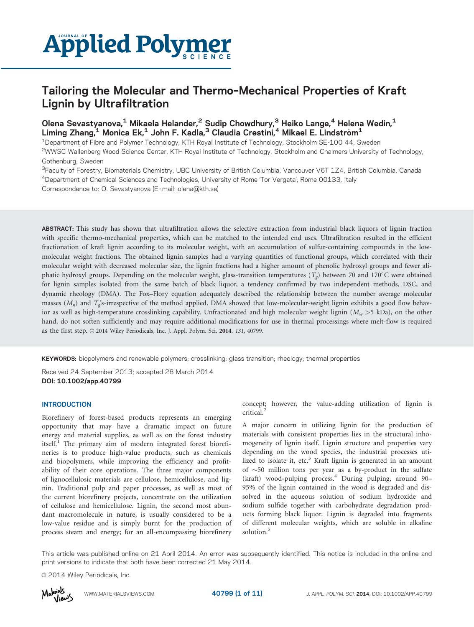

# Tailoring the Molecular and Thermo–Mechanical Properties of Kraft Lignin by Ultrafiltration

# Olena Sevastyanova,<sup>1</sup> Mikaela Helander,<sup>2</sup> Sudip Chowdhury,<sup>3</sup> Heiko Lange,<sup>4</sup> Helena Wedin,<sup>1</sup> Liming Zhang,<sup>1</sup> Monica Ek,<sup>1</sup> John F. Kadla,<sup>3</sup> Claudia Crestini,<sup>4</sup> Mikael E. Lindström<sup>1</sup>

1Department of Fibre and Polymer Technology, KTH Royal Institute of Technology, Stockholm SE-100 44, Sweden 2WWSC Wallenberg Wood Science Center, KTH Royal Institute of Technology, Stockholm and Chalmers University of Technology, Gothenburg, Sweden

<sup>3</sup>Faculty of Forestry, Biomaterials Chemistry, UBC University of British Columbia, Vancouver V6T 1Z4, British Columbia, Canada 4Department of Chemical Sciences and Technologies, University of Rome 'Tor Vergata', Rome 00133, Italy

Correspondence to: O. Sevastyanova (E -mail: olena@kth.se)

ABSTRACT: This study has shown that ultrafiltration allows the selective extraction from industrial black liquors of lignin fraction with specific thermo-mechanical properties, which can be matched to the intended end uses. Ultrafiltration resulted in the efficient fractionation of kraft lignin according to its molecular weight, with an accumulation of sulfur-containing compounds in the lowmolecular weight fractions. The obtained lignin samples had a varying quantities of functional groups, which correlated with their molecular weight with decreased molecular size, the lignin fractions had a higher amount of phenolic hydroxyl groups and fewer aliphatic hydroxyl groups. Depending on the molecular weight, glass-transition temperatures  $(T_g)$  between 70 and 170°C were obtained for lignin samples isolated from the same batch of black liquor, a tendency confirmed by two independent methods, DSC, and dynamic rheology (DMA). The Fox–Flory equation adequately described the relationship between the number average molecular masses  $(M_n)$  and  $T_s$ 's-irrespective of the method applied. DMA showed that low-molecular-weight lignin exhibits a good flow behavior as well as high-temperature crosslinking capability. Unfractionated and high molecular weight lignin  $(M_w > 5 \text{ kDa})$ , on the other hand, do not soften sufficiently and may require additional modifications for use in thermal processings where melt-flow is required as the first step.  $\odot$  2014 Wiley Periodicals, Inc. J. Appl. Polym. Sci. 2014, 131, 40799.

KEYWORDS: biopolymers and renewable polymers; crosslinking; glass transition; rheology; thermal properties

Received 24 September 2013; accepted 28 March 2014 DOI: 10.1002/app.40799

### **INTRODUCTION**

Biorefinery of forest-based products represents an emerging opportunity that may have a dramatic impact on future energy and material supplies, as well as on the forest industry itself.<sup>1</sup> The primary aim of modern integrated forest biorefineries is to produce high-value products, such as chemicals and biopolymers, while improving the efficiency and profitability of their core operations. The three major components of lignocellulosic materials are cellulose, hemicellulose, and lignin. Traditional pulp and paper processes, as well as most of the current biorefinery projects, concentrate on the utilization of cellulose and hemicellulose. Lignin, the second most abundant macromolecule in nature, is usually considered to be a low-value residue and is simply burnt for the production of process steam and energy; for an all-encompassing biorefinery concept; however, the value-adding utilization of lignin is critical.2

A major concern in utilizing lignin for the production of materials with consistent properties lies in the structural inhomogeneity of lignin itself. Lignin structure and properties vary depending on the wood species, the industrial processes utilized to isolate it, etc.<sup>3</sup> Kraft lignin is generated in an amount of  $\sim$  50 million tons per year as a by-product in the sulfate  $(kraft)$  wood-pulping process.<sup>4</sup> During pulping, around 90– 95% of the lignin contained in the wood is degraded and dissolved in the aqueous solution of sodium hydroxide and sodium sulfide together with carbohydrate degradation products forming black liquor. Lignin is degraded into fragments of different molecular weights, which are soluble in alkaline solution.<sup>5</sup>

This article was published online on 21 April 2014. An error was subsequently identified. This notice is included in the online and print versions to indicate that both have been corrected 21 May 2014.

 $\odot$  2014 Wiley Periodicals, Inc.

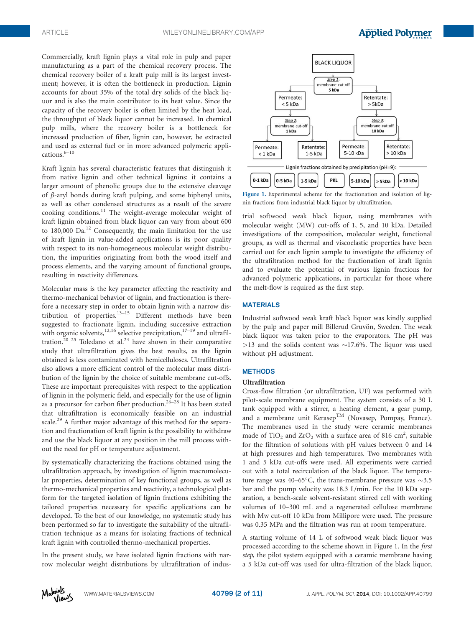Commercially, kraft lignin plays a vital role in pulp and paper manufacturing as a part of the chemical recovery process. The chemical recovery boiler of a kraft pulp mill is its largest investment; however, it is often the bottleneck in production. Lignin accounts for about 35% of the total dry solids of the black liquor and is also the main contributor to its heat value. Since the capacity of the recovery boiler is often limited by the heat load, the throughput of black liquor cannot be increased. In chemical pulp mills, where the recovery boiler is a bottleneck for increased production of fiber, lignin can, however, be extracted and used as external fuel or in more advanced polymeric applications. $6-10$ 

Kraft lignin has several characteristic features that distinguish it from native lignin and other technical lignins: it contains a larger amount of phenolic groups due to the extensive cleavage of  $\beta$ -aryl bonds during kraft pulping, and some biphenyl units, as well as other condensed structures as a result of the severe cooking conditions.<sup>11</sup> The weight-average molecular weight of kraft lignin obtained from black liquor can vary from about 600 to  $180,000$  Da.<sup>12</sup> Consequently, the main limitation for the use of kraft lignin in value-added applications is its poor quality with respect to its non-homogeneous molecular weight distribution, the impurities originating from both the wood itself and process elements, and the varying amount of functional groups, resulting in reactivity differences.

Molecular mass is the key parameter affecting the reactivity and thermo-mechanical behavior of lignin, and fractionation is therefore a necessary step in order to obtain lignin with a narrow distribution of properties. $13-15$  Different methods have been suggested to fractionate lignin, including successive extraction with organic solvents,<sup>12,16</sup> selective precipitation,<sup>17-19</sup> and ultrafiltration.<sup>20–25</sup> Toledano et al.<sup>24</sup> have shown in their comparative study that ultrafiltration gives the best results, as the lignin obtained is less contaminated with hemicelluloses. Ultrafiltration also allows a more efficient control of the molecular mass distribution of the lignin by the choice of suitable membrane cut-offs. These are important prerequisites with respect to the application of lignin in the polymeric field, and especially for the use of lignin as a precursor for carbon fiber production.<sup>26–28</sup> It has been stated that ultrafiltration is economically feasible on an industrial scale.<sup>29</sup> A further major advantage of this method for the separation and fractionation of kraft lignin is the possibility to withdraw and use the black liquor at any position in the mill process without the need for pH or temperature adjustment.

By systematically characterizing the fractions obtained using the ultrafiltration approach, by investigation of lignin macromolecular properties, determination of key functional groups, as well as thermo-mechanical properties and reactivity, a technological platform for the targeted isolation of lignin fractions exhibiting the tailored properties necessary for specific applications can be developed. To the best of our knowledge, no systematic study has been performed so far to investigate the suitability of the ultrafiltration technique as a means for isolating fractions of technical kraft lignin with controlled thermo-mechanical properties.

In the present study, we have isolated lignin fractions with narrow molecular weight distributions by ultrafiltration of indus-



Figure 1. Experimental scheme for the fractionation and isolation of lignin fractions from industrial black liquor by ultrafiltration.

trial softwood weak black liquor, using membranes with molecular weight (MW) cut-offs of 1, 5, and 10 kDa. Detailed investigations of the composition, molecular weight, functional groups, as well as thermal and viscoelastic properties have been carried out for each lignin sample to investigate the efficiency of the ultrafiltration method for the fractionation of kraft lignin and to evaluate the potential of various lignin fractions for advanced polymeric applications, in particular for those where the melt-flow is required as the first step.

## MATERIALS

Industrial softwood weak kraft black liquor was kindly supplied by the pulp and paper mill Billerud Gruvön, Sweden. The weak black liquor was taken prior to the evaporators. The pH was  $>13$  and the solids content was  $\sim$ 17.6%. The liquor was used without pH adjustment.

#### **METHODS**

#### Ultrafiltration

Cross-flow filtration (or ultrafiltration, UF) was performed with pilot-scale membrane equipment. The system consists of a 30 L tank equipped with a stirrer, a heating element, a gear pump, and a membrane unit Kerasep<sup>TM</sup> (Novasep, Pompay, France). The membranes used in the study were ceramic membranes made of  $\text{TiO}_2$  and  $\text{ZrO}_2$  with a surface area of 816 cm<sup>2</sup>, suitable for the filtration of solutions with pH values between 0 and 14 at high pressures and high temperatures. Two membranes with 1 and 5 kDa cut-offs were used. All experiments were carried out with a total recirculation of the black liquor. The temperature range was 40–65 $^{\circ}$ C, the trans-membrane pressure was  $\sim$ 3.5 bar and the pump velocity was 18.3 L/min. For the 10 kDa separation, a bench-scale solvent-resistant stirred cell with working volumes of 10–300 mL and a regenerated cellulose membrane with Mw cut-off 10 kDa from Millipore were used. The pressure was 0.35 MPa and the filtration was run at room temperature.

A starting volume of 14 L of softwood weak black liquor was processed according to the scheme shown in Figure 1. In the first step, the pilot system equipped with a ceramic membrane having a 5 kDa cut-off was used for ultra-filtration of the black liquor,

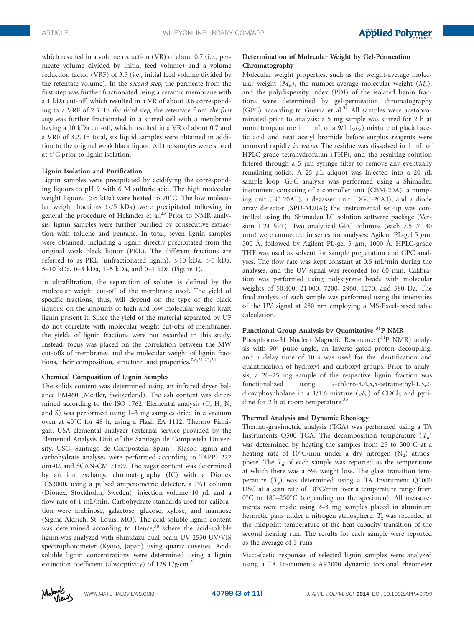which resulted in a volume reduction (VR) of about 0.7 (i.e., permeate volume divided by initial feed volume) and a volume reduction factor (VRF) of 3.5 (i.e., initial feed volume divided by the retentate volume). In the second step, the permeate from the first step was further fractionated using a ceramic membrane with a 1 kDa cut-off, which resulted in a VR of about 0.6 corresponding to a VRF of 2.5. In the third step, the retentate from the first step was further fractionated in a stirred cell with a membrane having a 10 kDa cut-off, which resulted in a VR of about 0.7 and a VRF of 3.2. In total, six liquid samples were obtained in addition to the original weak black liquor. All the samples were stored at 4°C prior to lignin isolation.

## Lignin Isolation and Purification

Lignin samples were precipitated by acidifying the corresponding liquors to pH 9 with 6 M sulfuric acid. The high molecular weight liquors (>5 kDa) were heated to 70°C. The low molecular weight fractions (<5 kDa) were precipitated following in general the procedure of Helander et al.<sup>25</sup> Prior to NMR analysis, lignin samples were further purified by consecutive extraction with toluene and pentane. In total, seven lignin samples were obtained, including a lignin directly precipitated from the original weak black liquor (PKL). The different fractions are referred to as PKL (unfractionated lignin), >10 kDa, >5 kDa, 5–10 kDa, 0–5 kDa, 1–5 kDa, and 0–1 kDa (Figure 1).

In ultrafiltration, the separation of solutes is defined by the molecular weight cut-off of the membrane used. The yield of specific fractions, thus, will depend on the type of the black liquors: on the amounts of high and low molecular weight kraft lignin present it. Since the yield of the material separated by UF do not correlate with molecular weight cut-offs of membranes, the yields of lignin fractions were not recorded in this study. Instead, focus was placed on the correlation between the MW cut-offs of membranes and the molecular weight of lignin fractions, their composition, structure, and properties.7,8,21,23,24

#### Chemical Composition of Lignin Samples

The solids content was determined using an infrared dryer balance PM460 (Mettler, Switzerland). The ash content was determined according to the ISO 1762. Elemental analysis (C, H, N, and S) was performed using 1–3 mg samples dried in a vacuum oven at 40°C for 48 h, using a Flash EA 1112, Thermo Finnigan, USA elemental analyzer (external service provided by the Elemental Analysis Unit of the Santiago de Compostela University, USC, Santiago de Compostela, Spain). Klason lignin and carbohydrate analyses were performed according to TAPPI 222 om-02 and SCAN-CM 71:09. The sugar content was determined by an ion exchange chromatography (IC) with a Dionex ICS3000, using a pulsed amperometric detector, a PA1 column (Dionex, Stockholm, Sweden), injection volume 10  $\mu$ L and a flow rate of 1 mL/min. Carbohydrate standards used for calibration were arabinose, galactose, glucose, xylose, and mannose (Sigma-Aldrich, St. Louis, MO). The acid-soluble lignin content was determined according to Dence,<sup>30</sup> where the acid-soluble lignin was analyzed with Shimdazu dual beam UV-2550 UV/VIS spectrophotometer (Kyoto, Japan) using quartz cuvettes. Acidsoluble lignin concentrations were determined using a lignin extinction coefficient (absorptivity) of 128 L/g·cm.<sup>31</sup>

# Determination of Molecular Weight by Gel-Permeation Chromatography

Molecular weight properties, such as the weight-average molecular weight  $(M_w)$ , the number-average molecular weight  $(M_n)$ , and the polydispersity index (PDI) of the isolated lignin fractions were determined by gel-permeation chromatography (GPC) according to Guerra et al. $32$  All samples were acetobrominated prior to analysis: a 5 mg sample was stirred for 2 h at room temperature in 1 mL of a 9/1  $(v/v)$  mixture of glacial acetic acid and neat acetyl bromide before surplus reagents were removed rapidly in vacuo. The residue was dissolved in 1 mL of HPLC grade tetrahydrofuran (THF), and the resulting solution filtered through a 5  $\mu$ m syringe filter to remove any eventually remaining solids. A 25  $\mu$ L aliquot was injected into a 20  $\mu$ L sample loop. GPC analysis was performed using a Shimadzu instrument consisting of a controller unit (CBM-20A), a pumping unit (LC 20AT), a degasser unit (DGU-20A3), and a diode array detector (SPD-M20A); the instrumental set-up was controlled using the Shimadzu LC solution software package (Version 1.24 SP1). Two analytical GPC columns (each 7.5  $\times$  30 mm) were connected in series for analyses: Agilent PL-gel 5  $\mu$ m, 500 A, followed by Agilent PL-gel 5  $\mu$ m, 1000 A. HPLC-grade THF was used as solvent for sample preparation and GPC analyses. The flow rate was kept constant at 0.5 mL/min during the analyses, and the UV signal was recorded for 60 min. Calibration was performed using polystyrene beads with molecular weights of 50,400, 21,000, 7200, 2960, 1270, and 580 Da. The final analysis of each sample was performed using the intensities of the UV signal at 280 nm employing a MS-Excel-based table calculation.

# Functional Group Analysis by Quantitative <sup>31</sup>P NMR

Phosphorus-31 Nuclear Magnetic Resonance (<sup>31</sup>P NMR) analysis with 90° pulse angle, an inverse gated proton decoupling, and a delay time of 10 s was used for the identification and quantification of hydroxyl and carboxyl groups. Prior to analysis, a 20–25 mg sample of the respective lignin fraction was functionalized using 2-chloro-4,4,5,5-tetramethyl-1,3,2 dioxaphospholane in a 1/1.6 mixture  $(\sqrt{v})$  of CDCl<sub>3</sub> and pyridine for 2 h at room temperature.<sup>33</sup>

# Thermal Analysis and Dynamic Rheology

Thermo-gravimetric analysis (TGA) was performed using a TA Instruments Q500 TGA. The decomposition temperature  $(T_d)$ was determined by heating the samples from  $25$  to  $500^{\circ}$ C at a heating rate of  $10^{\circ}$ C/min under a dry nitrogen (N<sub>2</sub>) atmosphere. The  $T_d$  of each sample was reported as the temperature at which there was a 5% weight loss. The glass transition temperature  $(T_e)$  was determined using a TA Instrument Q1000 DSC at a scan rate of 10°C/min over a temperature range from 0°C to 180-250°C (depending on the specimen). All measurements were made using 2–3 mg samples placed in aluminum hermetic pans under a nitrogen atmosphere.  $T_{\sigma}$  was recorded at the midpoint temperature of the heat capacity transition of the second heating run. The results for each sample were reported as the average of 3 runs.

Viscoelastic responses of selected lignin samples were analyzed using a TA Instruments AR2000 dynamic torsional rheometer

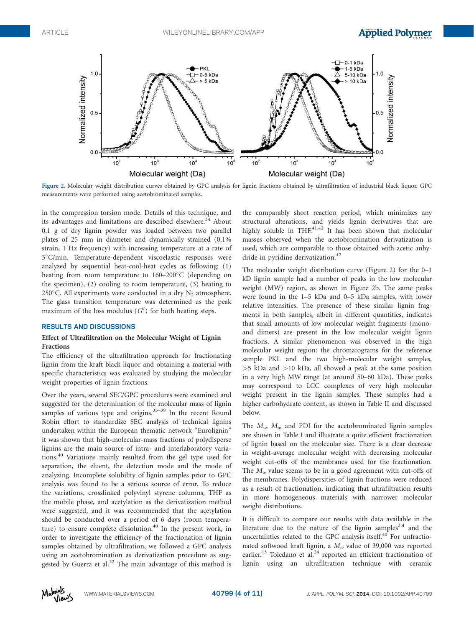

Figure 2. Molecular weight distribution curves obtained by GPC analysis for lignin fractions obtained by ultrafiltration of industrial black liquor. GPC measurements were performed using acetobrominated samples.

in the compression torsion mode. Details of this technique, and its advantages and limitations are described elsewhere.<sup>34</sup> About 0.1 g of dry lignin powder was loaded between two parallel plates of 25 mm in diameter and dynamically strained (0.1% strain, 1 Hz frequency) with increasing temperature at a rate of 3°C/min. Temperature-dependent viscoelastic responses were analyzed by sequential heat-cool-heat cycles as following: (1) heating from room temperature to 160-200°C (depending on the specimen), (2) cooling to room temperature, (3) heating to 250°C. All experiments were conducted in a dry  $N_2$  atmosphere. The glass transition temperature was determined as the peak maximum of the loss modulus  $(G'')$  for both heating steps.

#### RESULTS AND DISCUSSIONS

# Effect of Ultrafiltration on the Molecular Weight of Lignin Fractions

The efficiency of the ultrafiltration approach for fractionating lignin from the kraft black liquor and obtaining a material with specific characteristics was evaluated by studying the molecular weight properties of lignin fractions.

Over the years, several SEC/GPC procedures were examined and suggested for the determination of the molecular mass of lignin samples of various type and origins. $35-39$  In the recent Round Robin effort to standardize SEC analysis of technical lignins undertaken within the European thematic network "Eurolignin" it was shown that high-molecular-mass fractions of polydisperse lignins are the main source of intra- and interlaboratory variations.<sup>40</sup> Variations mainly resulted from the gel type used for separation, the eluent, the detection mode and the mode of analyzing. Incomplete solubility of lignin samples prior to GPC analysis was found to be a serious source of error. To reduce the variations, crosslinked polyvinyl styrene columns, THF as the mobile phase, and acetylation as the derivatization method were suggested, and it was recommended that the acetylation should be conducted over a period of 6 days (room temperature) to ensure complete dissolution.<sup>40</sup> In the present work, in order to investigate the efficiency of the fractionation of lignin samples obtained by ultrafiltration, we followed a GPC analysis using an acetobromination as derivatization procedure as suggested by Guerra et al.<sup>32</sup> The main advantage of this method is

the comparably short reaction period, which minimizes any structural alterations, and yields lignin derivatives that are highly soluble in THF. $41,42$  It has been shown that molecular masses observed when the acetobromination derivatization is used, which are comparable to those obtained with acetic anhydride in pyridine derivatization.<sup>42</sup>

The molecular weight distribution curve (Figure 2) for the 0–1 kD lignin sample had a number of peaks in the low molecular weight (MW) region, as shown in Figure 2b. The same peaks were found in the 1–5 kDa and 0–5 kDa samples, with lower relative intensities. The presence of these similar lignin fragments in both samples, albeit in different quantities, indicates that small amounts of low molecular weight fragments (monoand dimers) are present in the low molecular weight lignin fractions. A similar phenomenon was observed in the high molecular weight region: the chromatograms for the reference sample PKL and the two high-molecular weight samples, >5 kDa and >10 kDa, all showed a peak at the same position in a very high MW range (at around 50–60 kDa). These peaks may correspond to LCC complexes of very high molecular weight present in the lignin samples. These samples had a higher carbohydrate content, as shown in Table II and discussed below.

The  $M_{\nu}$ ,  $M_{\nu}$  and PDI for the acetobrominated lignin samples are shown in Table I and illustrate a quite efficient fractionation of lignin based on the molecular size. There is a clear decrease in weight-average molecular weight with decreasing molecular weight cut-offs of the membranes used for the fractionation. The  $M_w$  value seems to be in a good agreement with cut-offs of the membranes. Polydispersities of lignin fractions were reduced as a result of fractionation, indicating that ultrafiltration results in more homogeneous materials with narrower molecular weight distributions.

It is difficult to compare our results with data available in the literature due to the nature of the lignin samples<sup>3,4</sup> and the uncertainties related to the GPC analysis itself.<sup>40</sup> For unfractionated softwood kraft lignin, a  $M_w$  value of 39,000 was reported earlier.<sup>13</sup> Toledano et al.<sup>24</sup> reported an efficient fractionation of lignin using an ultrafiltration technique with ceramic

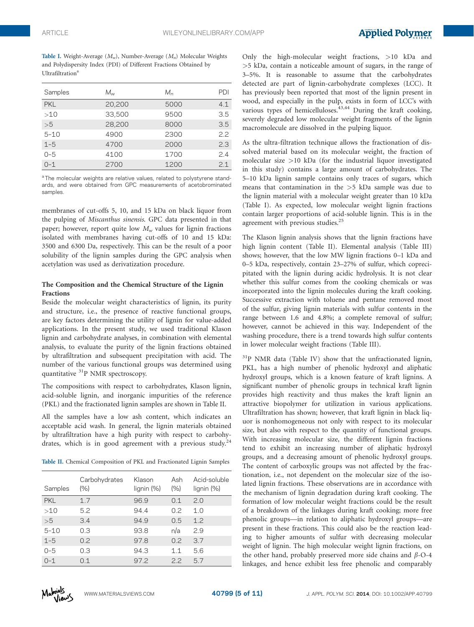Table I. Weight-Average  $(M_w)$ , Number-Average  $(M_n)$  Molecular Weights and Polydispersity Index (PDI) of Different Fractions Obtained by Ultrafiltration<sup>a</sup>

| Samples    | $M_{\nu\nu}$ | $M_{n}$ | PDI |
|------------|--------------|---------|-----|
| <b>PKL</b> | 20,200       | 5000    | 4.1 |
| >10        | 33,500       | 9500    | 3.5 |
| >5         | 28,200       | 8000    | 3.5 |
| $5 - 10$   | 4900         | 2300    | 22  |
| $1 - 5$    | 4700         | 2000    | 2.3 |
| $0 - 5$    | 4100         | 1700    | 24  |
| $() - 1$   | 2700         | 1200    | 21  |

<sup>a</sup>The molecular weights are relative values, related to polystyrene standards, and were obtained from GPC measurements of acetobrominated samples.

membranes of cut-offs 5, 10, and 15 kDa on black liquor from the pulping of Miscanthus sinensis. GPC data presented in that paper; however, report quite low  $M_w$  values for lignin fractions isolated with membranes having cut-offs of 10 and 15 kDa: 3500 and 6300 Da, respectively. This can be the result of a poor solubility of the lignin samples during the GPC analysis when acetylation was used as derivatization procedure.

## The Composition and the Chemical Structure of the Lignin Fractions

Beside the molecular weight characteristics of lignin, its purity and structure, i.e., the presence of reactive functional groups, are key factors determining the utility of lignin for value-added applications. In the present study, we used traditional Klason lignin and carbohydrate analyses, in combination with elemental analysis, to evaluate the purity of the lignin fractions obtained by ultrafiltration and subsequent precipitation with acid. The number of the various functional groups was determined using quantitative 31P NMR spectroscopy.

The compositions with respect to carbohydrates, Klason lignin, acid-soluble lignin, and inorganic impurities of the reference (PKL) and the fractionated lignin samples are shown in Table II.

All the samples have a low ash content, which indicates an acceptable acid wash. In general, the lignin materials obtained by ultrafiltration have a high purity with respect to carbohydrates, which is in good agreement with a previous study. $24$ 

Table II. Chemical Composition of PKL and Fractionated Lignin Samples

| Samples    | Carbohydrates<br>(%) | Klason<br>lignin (%) | Ash<br>(% ) | Acid-soluble<br>lignin (%) |
|------------|----------------------|----------------------|-------------|----------------------------|
| <b>PKL</b> | 17                   | 96.9                 | 0.1         | 2.0                        |
| >10        | 5.2                  | 94.4                 | 0.2         | 1.0                        |
| >5         | 3.4                  | 94.9                 | 0.5         | 1.2                        |
| $5 - 10$   | 0.3                  | 93.8                 | n/a         | 2.9                        |
| $1 - 5$    | 0.2                  | 97.8                 | 0.2         | 3.7                        |
| $0 - 5$    | 0.3                  | 94.3                 | 11          | 5.6                        |
| $0 - 1$    | O 1                  | 97.2                 | 2.2         | 57                         |

Only the high-molecular weight fractions, >10 kDa and >5 kDa, contain a noticeable amount of sugars, in the range of 3–5%. It is reasonable to assume that the carbohydrates detected are part of lignin-carbohydrate complexes (LCC). It has previously been reported that most of the lignin present in wood, and especially in the pulp, exists in form of LCC's with various types of hemicelluloses. $43,44$  During the kraft cooking, severely degraded low molecular weight fragments of the lignin macromolecule are dissolved in the pulping liquor.

As the ultra-filtration technique allows the fractionation of dissolved material based on its molecular weight, the fraction of molecular size  $>10$  kDa (for the industrial liquor investigated in this study) contains a large amount of carbohydrates. The 5–10 kDa lignin sample contains only traces of sugars, which means that contamination in the >5 kDa sample was due to the lignin material with a molecular weight greater than 10 kDa (Table I). As expected, low molecular weight lignin fractions contain larger proportions of acid-soluble lignin. This is in the agreement with previous studies.<sup>25</sup>

The Klason lignin analysis shows that the lignin fractions have high lignin content (Table II). Elemental analysis (Table III) shows; however, that the low MW lignin fractions 0–1 kDa and 0–5 kDa, respectively, contain 23–27% of sulfur, which coprecipitated with the lignin during acidic hydrolysis. It is not clear whether this sulfur comes from the cooking chemicals or was incorporated into the lignin molecules during the kraft cooking. Successive extraction with toluene and pentane removed most of the sulfur, giving lignin materials with sulfur contents in the range between 1.6 and 4.8%; a complete removal of sulfur; however, cannot be achieved in this way. Independent of the washing procedure, there is a trend towards high sulfur contents in lower molecular weight fractions (Table III).

<sup>31</sup>P NMR data (Table IV) show that the unfractionated lignin, PKL, has a high number of phenolic hydroxyl and aliphatic hydroxyl groups, which is a known feature of kraft lignins. A significant number of phenolic groups in technical kraft lignin provides high reactivity and thus makes the kraft lignin an attractive biopolymer for utilization in various applications. Ultrafiltration has shown; however, that kraft lignin in black liquor is nonhomogeneous not only with respect to its molecular size, but also with respect to the quantity of functional groups. With increasing molecular size, the different lignin fractions tend to exhibit an increasing number of aliphatic hydroxyl groups, and a decreasing amount of phenolic hydroxyl groups. The content of carboxylic groups was not affected by the fractionation, i.e., not dependent on the molecular size of the isolated lignin fractions. These observations are in accordance with the mechanism of lignin degradation during kraft cooking. The formation of low molecular weight fractions could be the result of a breakdown of the linkages during kraft cooking; more free phenolic groups—in relation to aliphatic hydroxyl groups—are present in these fractions. This could also be the reaction leading to higher amounts of sulfur with decreasing molecular weight of lignin. The high molecular weight lignin fractions, on the other hand, probably preserved more side chains and  $\beta$ -O-4 linkages, and hence exhibit less free phenolic and comparably

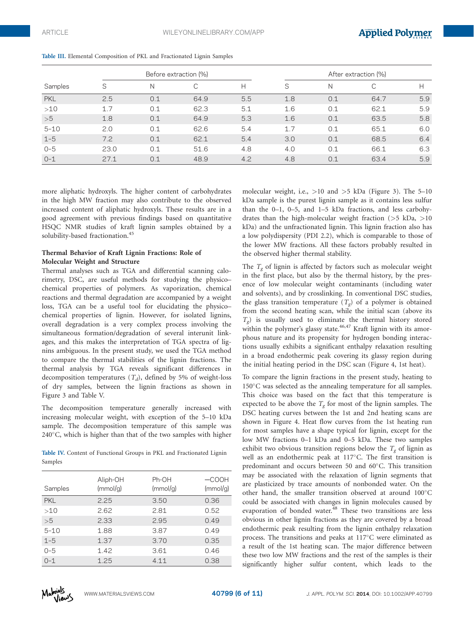|            | Before extraction (%) |     |      |     | After extraction (%) |     |      |     |
|------------|-----------------------|-----|------|-----|----------------------|-----|------|-----|
| Samples    | S                     | Ν   | С    | Н   | S                    | N   |      |     |
| <b>PKL</b> | 2.5                   | 0.1 | 64.9 | 5.5 | 1.8                  | 0.1 | 64.7 | 5.9 |
| >10        | 1.7                   | 0.1 | 62.3 | 5.1 | 1.6                  | 0.1 | 62.1 | 5.9 |
| >5         | 1.8                   | 0.1 | 64.9 | 5.3 | 1.6                  | 0.1 | 63.5 | 5.8 |
| $5 - 10$   | 2.0                   | 0.1 | 62.6 | 5.4 | 1.7                  | 0.1 | 65.1 | 6.0 |
| $1 - 5$    | 7.2                   | 0.1 | 62.1 | 5.4 | 3.0                  | 0.1 | 68.5 | 6.4 |
| $0 - 5$    | 23.0                  | 0.1 | 51.6 | 4.8 | 4.0                  | 0.1 | 66.1 | 6.3 |
| $O - 1$    | 27.1                  | 0.1 | 48.9 | 4.2 | 4.8                  | 0.1 | 63.4 | 5.9 |

Table III. Elemental Composition of PKL and Fractionated Lignin Samples

more aliphatic hydroxyls. The higher content of carbohydrates in the high MW fraction may also contribute to the observed increased content of aliphatic hydroxyls. These results are in a good agreement with previous findings based on quantitative HSQC NMR studies of kraft lignin samples obtained by a solubility-based fractionation.<sup>45</sup>

## Thermal Behavior of Kraft Lignin Fractions: Role of Molecular Weight and Structure

Thermal analyses such as TGA and differential scanning calorimetry, DSC, are useful methods for studying the physico– chemical properties of polymers. As vaporization, chemical reactions and thermal degradation are accompanied by a weight loss, TGA can be a useful tool for elucidating the physico– chemical properties of lignin. However, for isolated lignins, overall degradation is a very complex process involving the simultaneous formation/degradation of several interunit linkages, and this makes the interpretation of TGA spectra of lignins ambiguous. In the present study, we used the TGA method to compare the thermal stabilities of the lignin fractions. The thermal analysis by TGA reveals significant differences in decomposition temperatures  $(T_d)$ , defined by 5% of weight-loss of dry samples, between the lignin fractions as shown in Figure 3 and Table V.

The decomposition temperature generally increased with increasing molecular weight, with exception of the 5–10 kDa sample. The decomposition temperature of this sample was 240°C, which is higher than that of the two samples with higher

Table IV. Content of Functional Groups in PKL and Fractionated Lignin Samples

| Samples    | Aliph-OH<br>(mmol/g) | Ph-OH<br>(mmol/g) | $-COOH$<br>(mmol/g) |
|------------|----------------------|-------------------|---------------------|
| <b>PKL</b> | 2.25                 | 3.50              | 0.36                |
| >10        | 2.62                 | 2.81              | 0.52                |
| >5         | 2.33                 | 2.95              | 0.49                |
| $5 - 10$   | 1.88                 | 3.87              | 0.49                |
| $1 - 5$    | 1.37                 | 3.70              | 0.35                |
| $0 - 5$    | 1.42                 | 3.61              | 0.46                |
| $0 - 1$    | 1.25                 | 4.11              | 0.38                |

molecular weight, i.e., >10 and >5 kDa (Figure 3). The 5–10 kDa sample is the purest lignin sample as it contains less sulfur than the 0–1, 0–5, and 1–5 kDa fractions, and less carbohydrates than the high-molecular weight fraction (>5 kDa, >10 kDa) and the unfractionated lignin. This lignin fraction also has a low polydispersity (PDI 2.2), which is comparable to those of the lower MW fractions. All these factors probably resulted in the observed higher thermal stability.

The  $T_g$  of lignin is affected by factors such as molecular weight in the first place, but also by the thermal history, by the presence of low molecular weight contaminants (including water and solvents), and by crosslinking. In conventional DSC studies, the glass transition temperature  $(T_g)$  of a polymer is obtained from the second heating scan, while the initial scan (above its  $T_{g}$ ) is usually used to eliminate the thermal history stored within the polymer's glassy state. $46,47$  Kraft lignin with its amorphous nature and its propensity for hydrogen bonding interactions usually exhibits a significant enthalpy relaxation resulting in a broad endothermic peak covering its glassy region during the initial heating period in the DSC scan (Figure 4, 1st heat).

To compare the lignin fractions in the present study, heating to 150°C was selected as the annealing temperature for all samples. This choice was based on the fact that this temperature is expected to be above the  $T_{\rm g}$  for most of the lignin samples. The DSC heating curves between the 1st and 2nd heating scans are shown in Figure 4. Heat flow curves from the 1st heating run for most samples have a shape typical for lignin, except for the low MW fractions 0–1 kDa and 0–5 kDa. These two samples exhibit two obvious transition regions below the  $T_g$  of lignin as well as an endothermic peak at 117°C. The first transition is predominant and occurs between 50 and 60°C. This transition may be associated with the relaxation of lignin segments that are plasticized by trace amounts of nonbonded water. On the other hand, the smaller transition observed at around 100°C could be associated with changes in lignin molecules caused by evaporation of bonded water.<sup>48</sup> These two transitions are less obvious in other lignin fractions as they are covered by a broad endothermic peak resulting from the lignin enthalpy relaxation process. The transitions and peaks at 117°C were eliminated as a result of the 1st heating scan. The major difference between these two low MW fractions and the rest of the samples is their significantly higher sulfur content, which leads to the

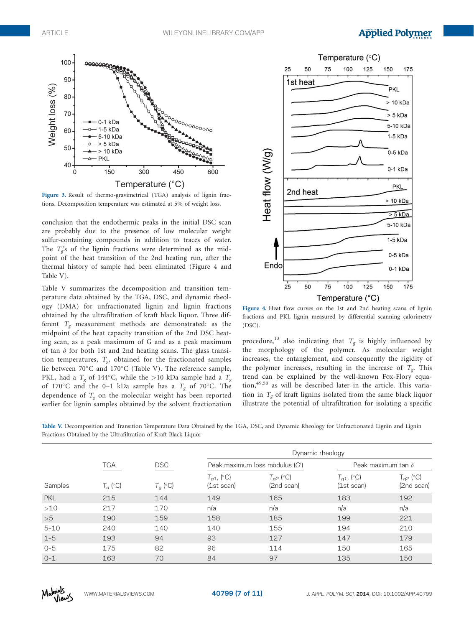

Figure 3. Result of thermo-gravimetrical (TGA) analysis of lignin fractions. Decomposition temperature was estimated at 5% of weight loss.

conclusion that the endothermic peaks in the initial DSC scan are probably due to the presence of low molecular weight sulfur-containing compounds in addition to traces of water. The  $T_e$ 's of the lignin fractions were determined as the midpoint of the heat transition of the 2nd heating run, after the thermal history of sample had been eliminated (Figure 4 and Table V).

Table V summarizes the decomposition and transition temperature data obtained by the TGA, DSC, and dynamic rheology (DMA) for unfractionated lignin and lignin fractions obtained by the ultrafiltration of kraft black liquor. Three different  $T_g$  measurement methods are demonstrated: as the midpoint of the heat capacity transition of the 2nd DSC heating scan, as a peak maximum of G and as a peak maximum of tan  $\delta$  for both 1st and 2nd heating scans. The glass transition temperatures,  $T_{g}$ , obtained for the fractionated samples lie between 70°C and 170°C (Table V). The reference sample, PKL, had a  $T_g$  of 144°C, while the >10 kDa sample had a  $T_g$ of 170°C and the 0-1 kDa sample has a  $T_g$  of 70°C. The dependence of  $T_g$  on the molecular weight has been reported earlier for lignin samples obtained by the solvent fractionation



Figure 4. Heat flow curves on the 1st and 2nd heating scans of lignin fractions and PKL lignin measured by differential scanning calorimetry (DSC).

procedure,<sup>13</sup> also indicating that  $T_g$  is highly influenced by the morphology of the polymer. As molecular weight increases, the entanglement, and consequently the rigidity of the polymer increases, resulting in the increase of  $T_{\sigma}$ . This trend can be explained by the well-known Fox-Flory equation,<sup>49,50</sup> as will be described later in the article. This variation in  $T_{\varphi}$  of kraft lignins isolated from the same black liquor illustrate the potential of ultrafiltration for isolating a specific

Table V. Decomposition and Transition Temperature Data Obtained by the TGA, DSC, and Dynamic Rheology for Unfractionated Lignin and Lignin Fractions Obtained by the Ultrafiltration of Kraft Black Liquor

|            |            |            |                               | Dynamic rheology               |                               |                             |  |  |
|------------|------------|------------|-------------------------------|--------------------------------|-------------------------------|-----------------------------|--|--|
|            | <b>TGA</b> | <b>DSC</b> |                               | Peak maximum loss modulus (G') |                               | Peak maximum tan $\delta$   |  |  |
| Samples    | $T_d$ (°C) | $T_g$ (°C) | $T_{q1}$ , (°C)<br>(1st scan) | $T_{q2}$ (°C)<br>(2nd scan)    | $T_{g1}$ , (°C)<br>(1st scan) | $T_{g2}$ (°C)<br>(2nd scan) |  |  |
| <b>PKL</b> | 215        | 144        | 149                           | 165                            | 183                           | 192                         |  |  |
| >10        | 217        | 170        | n/a                           | n/a                            | n/a                           | n/a                         |  |  |
| >5         | 190        | 159        | 158                           | 185                            | 199                           | 221                         |  |  |
| $5 - 10$   | 240        | 140        | 140                           | 155                            | 194                           | 210                         |  |  |
| $1 - 5$    | 193        | 94         | 93                            | 127                            | 147                           | 179                         |  |  |
| $0 - 5$    | 175        | 82         | 96                            | 114                            | 150                           | 165                         |  |  |
| $O - 1$    | 163        | 70         | 84                            | 97                             | 135                           | 150                         |  |  |

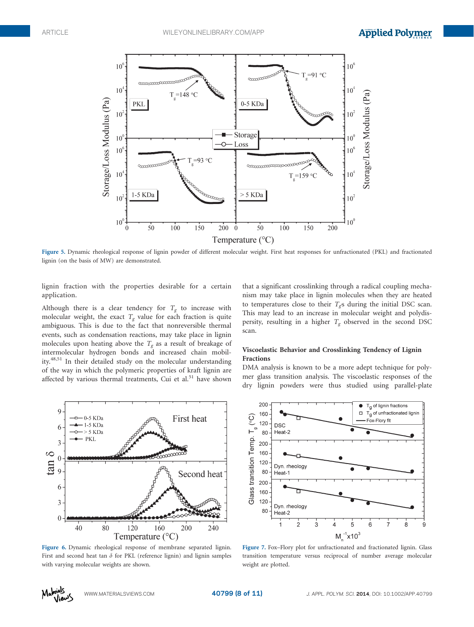

Figure 5. Dynamic rheological response of lignin powder of different molecular weight. First heat responses for unfractionated (PKL) and fractionated lignin (on the basis of MW) are demonstrated.

lignin fraction with the properties desirable for a certain application.

Although there is a clear tendency for  $T_g$  to increase with molecular weight, the exact  $T_g$  value for each fraction is quite ambiguous. This is due to the fact that nonreversible thermal events, such as condensation reactions, may take place in lignin molecules upon heating above the  $T_g$  as a result of breakage of intermolecular hydrogen bonds and increased chain mobility.48,51 In their detailed study on the molecular understanding of the way in which the polymeric properties of kraft lignin are affected by various thermal treatments, Cui et al. $51$  have shown that a significant crosslinking through a radical coupling mechanism may take place in lignin molecules when they are heated to temperatures close to their  $T_{g}$ s during the initial DSC scan. This may lead to an increase in molecular weight and polydispersity, resulting in a higher  $T_g$  observed in the second DSC scan.

# Viscoelastic Behavior and Crosslinking Tendency of Lignin Fractions

DMA analysis is known to be a more adept technique for polymer glass transition analysis. The viscoelastic responses of the dry lignin powders were thus studied using parallel-plate



Figure 6. Dynamic rheological response of membrane separated lignin. First and second heat tan  $\delta$  for PKL (reference lignin) and lignin samples with varying molecular weights are shown.



Figure 7. Fox–Flory plot for unfractionated and fractionated lignin. Glass transition temperature versus reciprocal of number average molecular weight are plotted.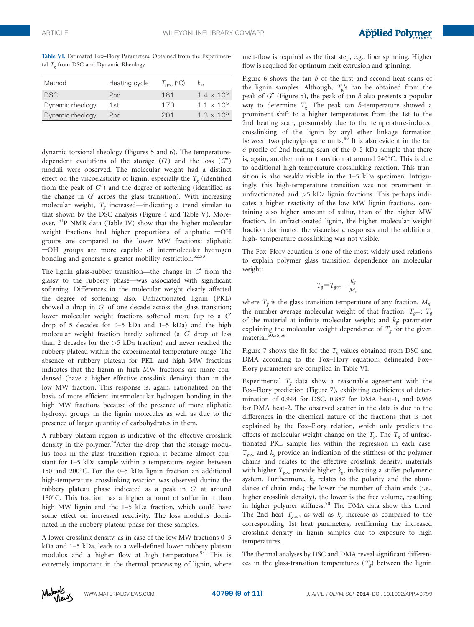| Table VI. Estimated Fox-Flory Parameters, Obtained from the Experimen- |  |  |  |
|------------------------------------------------------------------------|--|--|--|
| tal $Te$ from DSC and Dynamic Rheology                                 |  |  |  |

| Method           | Heating cycle | $T_{\alpha\infty}$ (°C) | $K_{\alpha}$        |
|------------------|---------------|-------------------------|---------------------|
| DSC <sup>1</sup> | 2nd           | 181                     | $1.4 \times 10^{5}$ |
| Dynamic rheology | 1st           | 170                     | $11 \times 10^{5}$  |
| Dynamic rheology | 2nd           | 201                     | $1.3 \times 10^{5}$ |

dynamic torsional rheology (Figures 5 and 6). The temperaturedependent evolutions of the storage  $(G')$  and the loss  $(G'')$ moduli were observed. The molecular weight had a distinct effect on the viscoelasticity of lignin, especially the  $T_{\sigma}$  (identified from the peak of  $G'$ ) and the degree of softening (identified as the change in  $G'$  across the glass transition). With increasing molecular weight,  $T_e$  increased—indicating a trend similar to that shown by the DSC analysis (Figure 4 and Table V). Moreover, <sup>31</sup>P NMR data (Table IV) show that the higher molecular weight fractions had higher proportions of aliphatic  $-\text{OH}$ groups are compared to the lower MW fractions: aliphatic -OH groups are more capable of intermolecular hydrogen bonding and generate a greater mobility restriction.<sup>52,53</sup>

The lignin glass-rubber transition—the change in  $G'$  from the glassy to the rubbery phase—was associated with significant softening. Differences in the molecular weight clearly affected the degree of softening also. Unfractionated lignin (PKL) showed a drop in  $G'$  of one decade across the glass transition; lower molecular weight fractions softened more (up to a  $G$ drop of 5 decades for 0–5 kDa and 1–5 kDa) and the high molecular weight fraction hardly softened (a  $G'$  drop of less than 2 decades for the >5 kDa fraction) and never reached the rubbery plateau within the experimental temperature range. The absence of rubbery plateau for PKL and high MW fractions indicates that the lignin in high MW fractions are more condensed (have a higher effective crosslink density) than in the low MW fraction. This response is, again, rationalized on the basis of more efficient intermolecular hydrogen bonding in the high MW fractions because of the presence of more aliphatic hydroxyl groups in the lignin molecules as well as due to the presence of larger quantity of carbohydrates in them.

A rubbery plateau region is indicative of the effective crosslink density in the polymer.<sup>54</sup>After the drop that the storage modulus took in the glass transition region, it became almost constant for 1–5 kDa sample within a temperature region between 150 and 200°C. For the 0-5 kDa lignin fraction an additional high-temperature crosslinking reaction was observed during the rubbery plateau phase indicated as a peak in  $G'$  at around 180°C. This fraction has a higher amount of sulfur in it than high MW lignin and the 1–5 kDa fraction, which could have some effect on increased reactivity. The loss modulus dominated in the rubbery plateau phase for these samples.

A lower crosslink density, as in case of the low MW fractions 0–5 kDa and 1–5 kDa, leads to a well-defined lower rubbery plateau modulus and a higher flow at high temperature.<sup>54</sup> This is extremely important in the thermal processing of lignin, where melt-flow is required as the first step, e.g., fiber spinning. Higher flow is required for optimum melt extrusion and spinning.

Figure 6 shows the tan  $\delta$  of the first and second heat scans of the lignin samples. Although,  $T_g$ 's can be obtained from the peak of  $G'$  (Figure 5), the peak of tan  $\delta$  also presents a popular way to determine  $T_{g}$ . The peak tan  $\delta$ -temperature showed a prominent shift to a higher temperatures from the 1st to the 2nd heating scan, presumably due to the temperature-induced crosslinking of the lignin by aryl ether linkage formation between two phenylpropane units.<sup>48</sup> It is also evident in the tan  $\delta$  profile of 2nd heating scan of the 0–5 kDa sample that there is, again, another minor transition at around 240°C. This is due to additional high-temperature crosslinking reaction. This transition is also weakly visible in the 1–5 kDa specimen. Intriguingly, this high-temperature transition was not prominent in unfractionated and >5 kDa lignin fractions. This perhaps indicates a higher reactivity of the low MW lignin fractions, containing also higher amount of sulfur, than of the higher MW fraction. In unfractionated lignin, the higher molecular weight fraction dominated the viscoelastic responses and the additional high- temperature crosslinking was not visible.

The Fox–Flory equation is one of the most widely used relations to explain polymer glass transition dependence on molecular weight:

$$
T_g\!=\!T_{g\infty}\!-\frac{k_g}{M_n}
$$

where  $T_g$  is the glass transition temperature of any fraction,  $M_n$ : the number average molecular weight of that fraction;  $T_{\text{g}\infty}$ :  $T_{g}$ of the material at infinite molecular weight; and  $k_g$ : parameter explaining the molecular weight dependence of  $T_g$  for the given material.<sup>50,55,56</sup>

Figure 7 shows the fit for the  $T_{\rm g}$  values obtained from DSC and DMA according to the Fox–Flory equation; delineated Fox– Flory parameters are compiled in Table VI.

Experimental  $T_g$  data show a reasonable agreement with the Fox–Flory prediction (Figure 7), exhibiting coefficients of determination of 0.944 for DSC, 0.887 for DMA heat-1, and 0.966 for DMA heat-2. The observed scatter in the data is due to the differences in the chemical nature of the fractions that is not explained by the Fox–Flory relation, which only predicts the effects of molecular weight change on the  $T_g$ . The  $T_g$  of unfractionated PKL sample lies within the regression in each case.  $T_{\text{g}\infty}$  and  $k_{g}$  provide an indication of the stiffness of the polymer chains and relates to the effective crosslink density; materials with higher  $T_{g\infty}$  provide higher  $k_g$ , indicating a stiffer polymeric system. Furthermore,  $k_g$  relates to the polarity and the abundance of chain ends; the lower the number of chain ends (i.e., higher crosslink density), the lower is the free volume, resulting in higher polymer stiffness.<sup>50</sup> The DMA data show this trend. The 2nd heat  $T_{\text{geo}}$ , as well as  $k_g$  increase as compared to the corresponding 1st heat parameters, reaffirming the increased crosslink density in lignin samples due to exposure to high temperatures.

The thermal analyses by DSC and DMA reveal significant differences in the glass-transition temperatures  $(T_g)$  between the lignin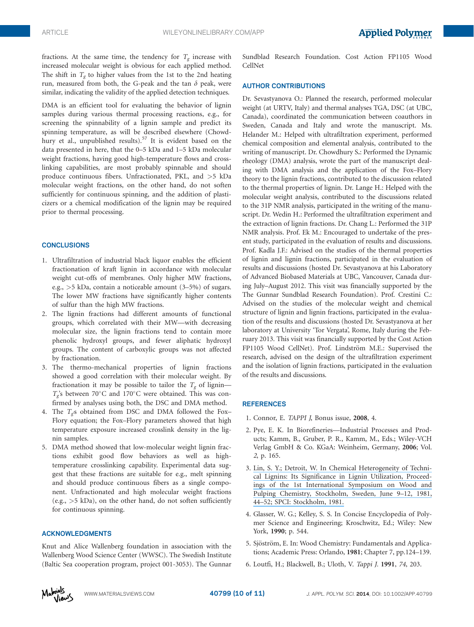fractions. At the same time, the tendency for  $T_g$  increase with increased molecular weight is obvious for each applied method. The shift in  $T_{\sigma}$  to higher values from the 1st to the 2nd heating run, measured from both, the G-peak and the tan  $\delta$  peak, were similar, indicating the validity of the applied detection techniques.

DMA is an efficient tool for evaluating the behavior of lignin samples during various thermal processing reactions, e.g., for screening the spinnability of a lignin sample and predict its spinning temperature, as will be described elsewhere (Chowdhury et al., unpublished results).<sup>57</sup> It is evident based on the data presented in here, that the 0–5 kDa and 1–5 kDa molecular weight fractions, having good high-temperature flows and crosslinking capabilities, are most probably spinnable and should produce continuous fibers. Unfractionated, PKL, and >5 kDa molecular weight fractions, on the other hand, do not soften sufficiently for continuous spinning, and the addition of plasticizers or a chemical modification of the lignin may be required prior to thermal processing.

#### **CONCLUSIONS**

- 1. Ultrafiltration of industrial black liquor enables the efficient fractionation of kraft lignin in accordance with molecular weight cut-offs of membranes. Only higher MW fractions, e.g., >5 kDa, contain a noticeable amount (3–5%) of sugars. The lower MW fractions have significantly higher contents of sulfur than the high MW fractions.
- 2. The lignin fractions had different amounts of functional groups, which correlated with their MW—with decreasing molecular size, the lignin fractions tend to contain more phenolic hydroxyl groups, and fewer aliphatic hydroxyl groups. The content of carboxylic groups was not affected by fractionation.
- 3. The thermo-mechanical properties of lignin fractions showed a good correlation with their molecular weight. By fractionation it may be possible to tailor the  $T_g$  of lignin—  $T_g$ 's between 70°C and 170°C were obtained. This was confirmed by analyses using both, the DSC and DMA method.
- 4. The  $T_{g}$ 's obtained from DSC and DMA followed the Fox-Flory equation; the Fox–Flory parameters showed that high temperature exposure increased crosslink density in the lignin samples.
- 5. DMA method showed that low-molecular weight lignin fractions exhibit good flow behaviors as well as hightemperature crosslinking capability. Experimental data suggest that these fractions are suitable for e.g., melt spinning and should produce continuous fibers as a single component. Unfractionated and high molecular weight fractions  $(e.g., >5 kDa)$ , on the other hand, do not soften sufficiently for continuous spinning.

### ACKNOWLEDGMENTS

Knut and Alice Wallenberg foundation in association with the Wallenberg Wood Science Center (WWSC). The Swedish Institute (Baltic Sea cooperation program, project 001-3053). The Gunnar Sundblad Research Foundation. Cost Action FP1105 Wood CellNet

#### AUTHOR CONTRIBUTIONS

Dr. Sevastyanova O.: Planned the research, performed molecular weight (at URTV, Italy) and thermal analyses TGA, DSC (at UBC, Canada), coordinated the communication between coauthors in Sweden, Canada and Italy and wrote the manuscript. Ms. Helander M.: Helped with ultrafiltration experiment, performed chemical composition and elemental analysis, contributed to the writing of manuscript. Dr. Chowdhury S.: Performed the Dynamic rheology (DMA) analysis, wrote the part of the manuscript dealing with DMA analysis and the application of the Fox–Flory theory to the lignin fractions, contributed to the discussion related to the thermal properties of lignin. Dr. Lange H.: Helped with the molecular weight analysis, contributed to the discussions related to the 31P NMR analysis, participated in the writing of the manuscript. Dr. Wedin H.: Performed the ultrafiltration experiment and the extraction of lignin fractions. Dr. Chang L.: Performed the 31P NMR analysis. Prof. Ek M.: Encouraged to undertake of the present study, participated in the evaluation of results and discussions. Prof. Kadla J.F.: Advised on the studies of the thermal properties of lignin and lignin fractions, participated in the evaluation of results and discussions (hosted Dr. Sevastyanova at his Laboratory of Advanced Biobased Materials at UBC, Vancouver, Canada during July–August 2012. This visit was financially supported by the The Gunnar Sundblad Research Foundation). Prof. Crestini C.: Advised on the studies of the molecular weight and chemical structure of lignin and lignin fractions, participated in the evaluation of the results and discussions (hosted Dr. Sevastyanova at her laboratory at University 'Tor Vergata', Rome, Italy during the February 2013. This visit was financially supported by the Cost Action FP1105 Wood CellNet). Prof. Lindström M.E.: Supervised the research, advised on the design of the ultrafiltration experiment and the isolation of lignin fractions, participated in the evaluation of the results and discussions.

#### **REFERENCES**

- 1. Connor, E. TAPPI J, Bonus issue, 2008, 4.
- 2. Pye, E. K. In Biorefineries—Industrial Processes and Products; Kamm, B., Gruber, P. R., Kamm, M., Eds.; Wiley-VCH Verlag GmbH & Co. KGaA: Weinheim, Germany, 2006; Vol. 2, p. 165.
- 3. [Lin, S. Y.; Detroit, W. In Chemical Heterogeneity of Techni](https://www.researchgate.net/publication/284620023_Chemical_heterogeneity_of_technical_lignins-its_significance_in_lignin_utilization_International_Symposium_on_Wood_and_Pulping_Chemistry?el=1_x_8&enrichId=rgreq-198a559fbb1d7221abb26f8bc2f04edc-XXX&enrichSource=Y292ZXJQYWdlOzI2MTc2OTg0OTtBUzoxNDQ1MDUwODA2NTE3NzdAMTQxMTQ2NDEwNDcyMg==)[cal Lignins: Its Significance in Lignin Utilization, Proceed](https://www.researchgate.net/publication/284620023_Chemical_heterogeneity_of_technical_lignins-its_significance_in_lignin_utilization_International_Symposium_on_Wood_and_Pulping_Chemistry?el=1_x_8&enrichId=rgreq-198a559fbb1d7221abb26f8bc2f04edc-XXX&enrichSource=Y292ZXJQYWdlOzI2MTc2OTg0OTtBUzoxNDQ1MDUwODA2NTE3NzdAMTQxMTQ2NDEwNDcyMg==)[ings of the 1st International Symposium on Wood and](https://www.researchgate.net/publication/284620023_Chemical_heterogeneity_of_technical_lignins-its_significance_in_lignin_utilization_International_Symposium_on_Wood_and_Pulping_Chemistry?el=1_x_8&enrichId=rgreq-198a559fbb1d7221abb26f8bc2f04edc-XXX&enrichSource=Y292ZXJQYWdlOzI2MTc2OTg0OTtBUzoxNDQ1MDUwODA2NTE3NzdAMTQxMTQ2NDEwNDcyMg==) [Pulping Chemistry, Stockholm, Sweden, June 9–12, 1981,](https://www.researchgate.net/publication/284620023_Chemical_heterogeneity_of_technical_lignins-its_significance_in_lignin_utilization_International_Symposium_on_Wood_and_Pulping_Chemistry?el=1_x_8&enrichId=rgreq-198a559fbb1d7221abb26f8bc2f04edc-XXX&enrichSource=Y292ZXJQYWdlOzI2MTc2OTg0OTtBUzoxNDQ1MDUwODA2NTE3NzdAMTQxMTQ2NDEwNDcyMg==) [44–52; SPCI: Stockholm, 1981.](https://www.researchgate.net/publication/284620023_Chemical_heterogeneity_of_technical_lignins-its_significance_in_lignin_utilization_International_Symposium_on_Wood_and_Pulping_Chemistry?el=1_x_8&enrichId=rgreq-198a559fbb1d7221abb26f8bc2f04edc-XXX&enrichSource=Y292ZXJQYWdlOzI2MTc2OTg0OTtBUzoxNDQ1MDUwODA2NTE3NzdAMTQxMTQ2NDEwNDcyMg==)
- 4. Glasser, W. G.; Kelley, S. S. In Concise Encyclopedia of Polymer Science and Engineering; Kroschwitz, Ed.; Wiley: New York, 1990; p. 544.
- 5. Sjöström, E. In: Wood Chemistry: Fundamentals and Applications; Academic Press: Orlando, 1981; Chapter 7, pp.124–139.
- 6. Loutfi, H.; Blackwell, B.; Uloth, V. Tappi J. 1991, 74, 203.